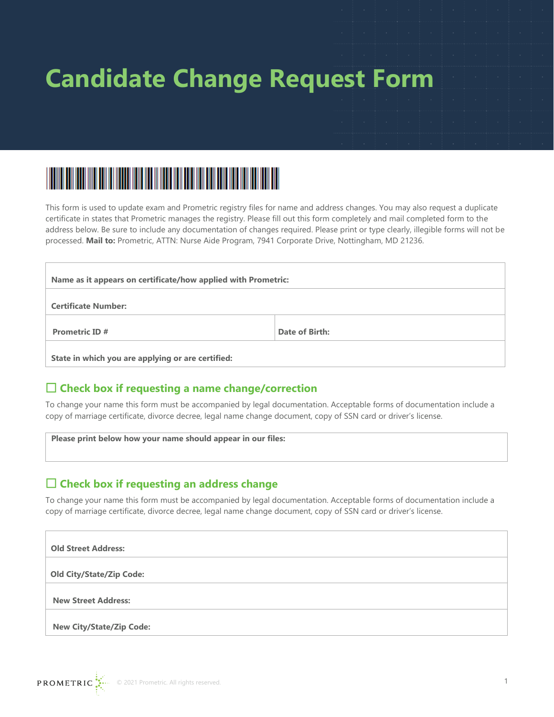



This form is used to update exam and Prometric registry files for name and address changes. You may also request a duplicate certificate in states that Prometric manages the registry. Please fill out this form completely and mail completed form to the address below. Be sure to include any documentation of changes required. Please print or type clearly, illegible forms will not be processed. **Mail to:** Prometric, ATTN: Nurse Aide Program, 7941 Corporate Drive, Nottingham, MD 21236.

| Name as it appears on certificate/how applied with Prometric: |                |  |  |  |  |
|---------------------------------------------------------------|----------------|--|--|--|--|
| <b>Certificate Number:</b>                                    |                |  |  |  |  |
| <b>Prometric ID#</b>                                          | Date of Birth: |  |  |  |  |
| State in which you are applying or are certified:             |                |  |  |  |  |

### **Check box if requesting a name change/correction**

To change your name this form must be accompanied by legal documentation. Acceptable forms of documentation include a copy of marriage certificate, divorce decree, legal name change document, copy of SSN card or driver's license.

 **Please print below how your name should appear in our files:**

### **Check box if requesting an address change**

To change your name this form must be accompanied by legal documentation. Acceptable forms of documentation include a copy of marriage certificate, divorce decree, legal name change document, copy of SSN card or driver's license.

| <b>Old Street Address:</b>      |
|---------------------------------|
| <b>Old City/State/Zip Code:</b> |
| <b>New Street Address:</b>      |
| <b>New City/State/Zip Code:</b> |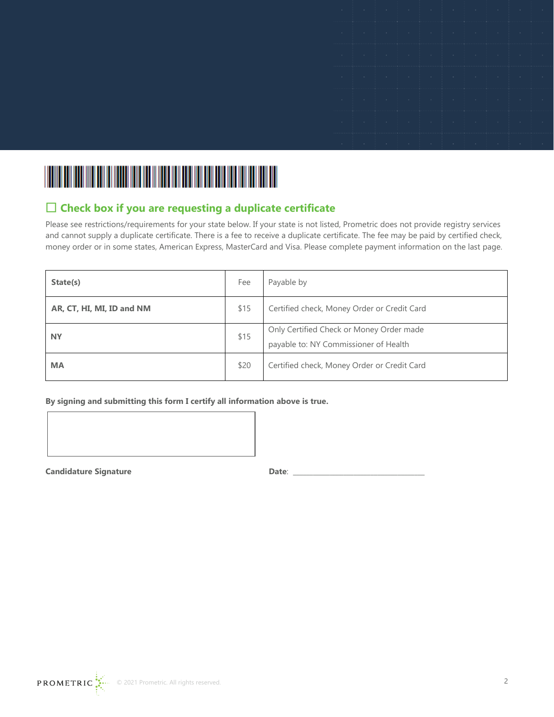|  |  |  |  | 4. 이 사람은 아이들이 아니라 아이들이 아니라 아이들이 아니라 아이들이 아니라 아이들이 아니라 아이들이 아니라 아이들이 아니라 아이들이 아니라 아이들이 아니라 아이들이 아니라 아이들이 아니라 아이   |  |
|--|--|--|--|------------------------------------------------------------------------------------------------------------------|--|
|  |  |  |  | 그는 사람들의 사람들은 사람들의 사람들을 사용하고 있다. 이 사람들은 사람들은 사람들을 하고 있다.                                                          |  |
|  |  |  |  | the contract of the contract of the contract of the contract of the contract of the contract of the contract of  |  |
|  |  |  |  |                                                                                                                  |  |
|  |  |  |  | and the company of the company of the company of the company of the company of the company of the company of the |  |
|  |  |  |  | and the second complete the control of the control of the control of the control of the control of               |  |
|  |  |  |  |                                                                                                                  |  |



## **Check box if you are requesting a duplicate certificate**

Please see restrictions/requirements for your state below. If your state is not listed, Prometric does not provide registry services and cannot supply a duplicate certificate. There is a fee to receive a duplicate certificate. The fee may be paid by certified check, money order or in some states, American Express, MasterCard and Visa. Please complete payment information on the last page.

| State(s)                  | Fee  | Payable by                                                                        |
|---------------------------|------|-----------------------------------------------------------------------------------|
| AR, CT, HI, MI, ID and NM | \$15 | Certified check, Money Order or Credit Card                                       |
| <b>NY</b>                 | \$15 | Only Certified Check or Money Order made<br>payable to: NY Commissioner of Health |
| <b>MA</b>                 | \$20 | Certified check, Money Order or Credit Card                                       |

**By signing and submitting this form I certify all information above is true.**



**Candidature Signature Date**: \_\_\_\_\_\_\_\_\_\_\_\_\_\_\_\_\_\_\_\_\_\_\_\_\_\_\_\_\_\_\_\_\_\_\_\_\_\_\_